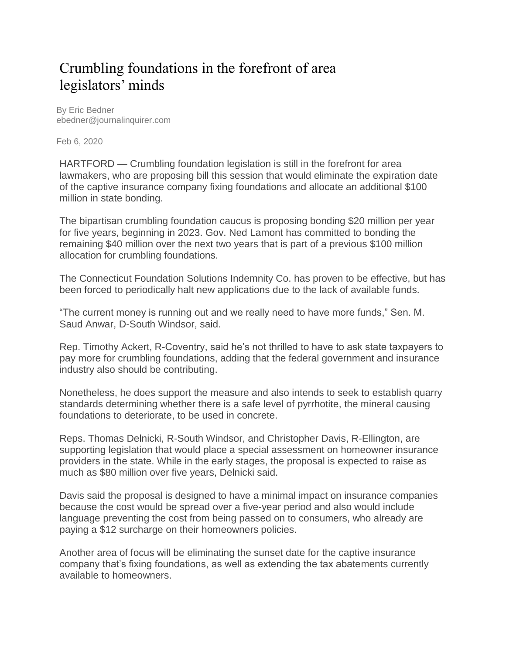## Crumbling foundations in the forefront of area legislators' minds

By Eric Bedner ebedner@journalinquirer.com

Feb 6, 2020

HARTFORD — Crumbling foundation legislation is still in the forefront for area lawmakers, who are proposing bill this session that would eliminate the expiration date of the captive insurance company fixing foundations and allocate an additional \$100 million in state bonding.

The bipartisan crumbling foundation caucus is proposing bonding \$20 million per year for five years, beginning in 2023. Gov. Ned Lamont has committed to bonding the remaining \$40 million over the next two years that is part of a previous \$100 million allocation for crumbling foundations.

The Connecticut Foundation Solutions Indemnity Co. has proven to be effective, but has been forced to periodically halt new applications due to the lack of available funds.

"The current money is running out and we really need to have more funds," Sen. M. Saud Anwar, D-South Windsor, said.

Rep. Timothy Ackert, R-Coventry, said he's not thrilled to have to ask state taxpayers to pay more for crumbling foundations, adding that the federal government and insurance industry also should be contributing.

Nonetheless, he does support the measure and also intends to seek to establish quarry standards determining whether there is a safe level of pyrrhotite, the mineral causing foundations to deteriorate, to be used in concrete.

Reps. Thomas Delnicki, R-South Windsor, and Christopher Davis, R-Ellington, are supporting legislation that would place a special assessment on homeowner insurance providers in the state. While in the early stages, the proposal is expected to raise as much as \$80 million over five years, Delnicki said.

Davis said the proposal is designed to have a minimal impact on insurance companies because the cost would be spread over a five-year period and also would include language preventing the cost from being passed on to consumers, who already are paying a \$12 surcharge on their homeowners policies.

Another area of focus will be eliminating the sunset date for the captive insurance company that's fixing foundations, as well as extending the tax abatements currently available to homeowners.